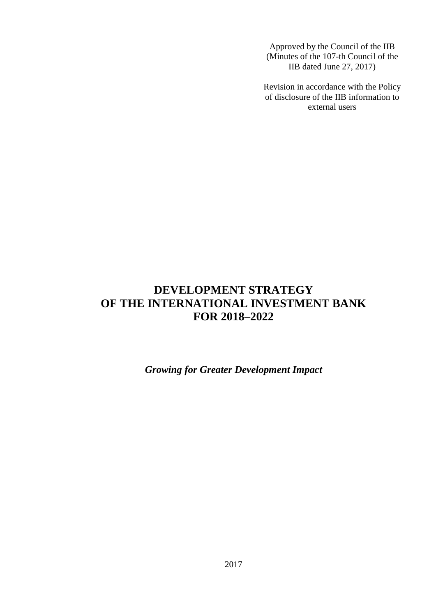Approved by the Council of the IIB (Minutes of the 107-th Council of the IIB dated June 27, 2017)

Revision in accordance with the Policy of disclosure of the IIB information to external users

# **DEVELOPMENT STRATEGY OF THE INTERNATIONAL INVESTMENT BANK FOR 2018–2022**

*Growing for Greater Development Impact*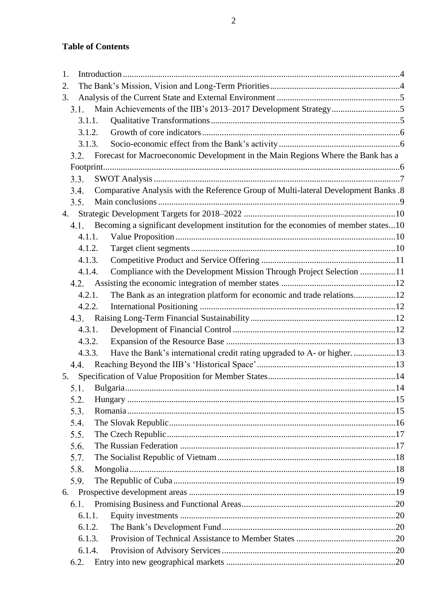# **Table of Contents**

| 1.     |                                                                                     |  |
|--------|-------------------------------------------------------------------------------------|--|
| 2.     |                                                                                     |  |
| 3.     |                                                                                     |  |
| 3.1.   |                                                                                     |  |
| 3.1.1. |                                                                                     |  |
| 3.1.2. |                                                                                     |  |
| 3.1.3. |                                                                                     |  |
| 3.2.   | Forecast for Macroeconomic Development in the Main Regions Where the Bank has a     |  |
|        |                                                                                     |  |
| 3.3.   |                                                                                     |  |
| 3.4.   | Comparative Analysis with the Reference Group of Multi-lateral Development Banks.8  |  |
| 3.5.   |                                                                                     |  |
|        |                                                                                     |  |
| 4.1.   | Becoming a significant development institution for the economies of member states10 |  |
| 4.1.1. |                                                                                     |  |
| 4.1.2. |                                                                                     |  |
| 4.1.3. |                                                                                     |  |
| 4.1.4. | Compliance with the Development Mission Through Project Selection 11                |  |
|        |                                                                                     |  |
| 4.2.1. | The Bank as an integration platform for economic and trade relations12              |  |
| 4.2.2. |                                                                                     |  |
|        |                                                                                     |  |
| 4.3.1. |                                                                                     |  |
| 4.3.2. |                                                                                     |  |
| 4.3.3. | Have the Bank's international credit rating upgraded to A- or higher13              |  |
| 4.4.   |                                                                                     |  |
| 5.     |                                                                                     |  |
| 5.1.   |                                                                                     |  |
| 5.2.   |                                                                                     |  |
| 5.3.   |                                                                                     |  |
| 5.4.   |                                                                                     |  |
| 5.5.   |                                                                                     |  |
| 5.6.   |                                                                                     |  |
| 5.7.   |                                                                                     |  |
| 5.8.   |                                                                                     |  |
| 5.9.   |                                                                                     |  |
|        |                                                                                     |  |
| 6.1.   |                                                                                     |  |
| 6.1.1. |                                                                                     |  |
| 6.1.2. |                                                                                     |  |
| 6.1.3. |                                                                                     |  |
| 6.1.4. |                                                                                     |  |
| 6.2.   |                                                                                     |  |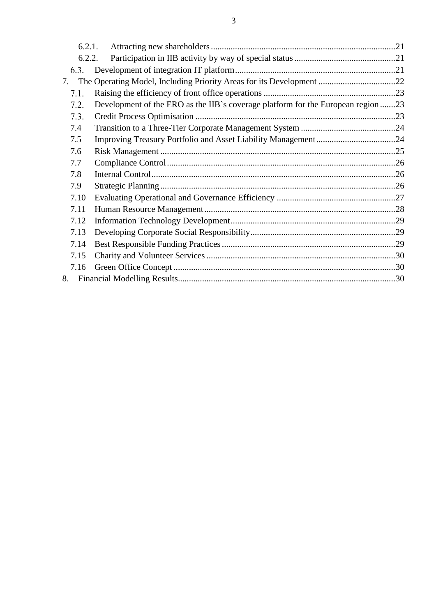| 6.2.1. |                                                                                  |  |
|--------|----------------------------------------------------------------------------------|--|
| 6.2.2. |                                                                                  |  |
| 6.3.   |                                                                                  |  |
| 7.     | The Operating Model, Including Priority Areas for its Development 22             |  |
| 7.1.   |                                                                                  |  |
| 7.2.   | Development of the ERO as the IIB's coverage platform for the European region 23 |  |
| 7.3.   |                                                                                  |  |
| 7.4    |                                                                                  |  |
| 7.5    |                                                                                  |  |
| 7.6    |                                                                                  |  |
| 7.7    |                                                                                  |  |
| 7.8    |                                                                                  |  |
| 7.9    |                                                                                  |  |
| 7.10   |                                                                                  |  |
| 7.11   |                                                                                  |  |
| 7.12   |                                                                                  |  |
| 7.13   |                                                                                  |  |
| 7.14   |                                                                                  |  |
| 7.15   |                                                                                  |  |
| 7.16   |                                                                                  |  |
| 8.     |                                                                                  |  |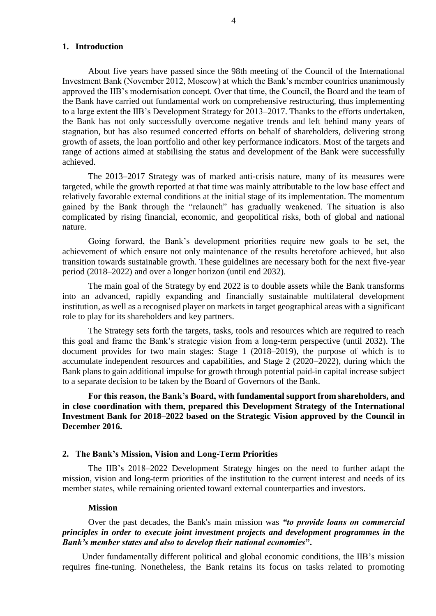#### <span id="page-3-0"></span>**1. Introduction**

About five years have passed since the 98th meeting of the Council of the International Investment Bank (November 2012, Moscow) at which the Bank's member countries unanimously approved the IIB's modernisation concept. Over that time, the Council, the Board and the team of the Bank have carried out fundamental work on comprehensive restructuring, thus implementing to a large extent the IIB's Development Strategy for 2013–2017. Thanks to the efforts undertaken, the Bank has not only successfully overcome negative trends and left behind many years of stagnation, but has also resumed concerted efforts on behalf of shareholders, delivering strong growth of assets, the loan portfolio and other key performance indicators. Most of the targets and range of actions aimed at stabilising the status and development of the Bank were successfully achieved.

The 2013–2017 Strategy was of marked anti-crisis nature, many of its measures were targeted, while the growth reported at that time was mainly attributable to the low base effect and relatively favorable external conditions at the initial stage of its implementation. The momentum gained by the Bank through the "relaunch" has gradually weakened. The situation is also complicated by rising financial, economic, and geopolitical risks, both of global and national nature.

Going forward, the Bank's development priorities require new goals to be set, the achievement of which ensure not only maintenance of the results heretofore achieved, but also transition towards sustainable growth. These guidelines are necessary both for the next five-year period (2018–2022) and over a longer horizon (until end 2032).

The main goal of the Strategy by end 2022 is to double assets while the Bank transforms into an advanced, rapidly expanding and financially sustainable multilateral development institution, as well as a recognised player on markets in target geographical areas with a significant role to play for its shareholders and key partners.

The Strategy sets forth the targets, tasks, tools and resources which are required to reach this goal and frame the Bank's strategic vision from a long-term perspective (until 2032). The document provides for two main stages: Stage 1 (2018–2019), the purpose of which is to accumulate independent resources and capabilities, and Stage 2 (2020–2022), during which the Bank plans to gain additional impulse for growth through potential paid-in capital increase subject to a separate decision to be taken by the Board of Governors of the Bank.

**For this reason, the Bank's Board, with fundamental support from shareholders, and in close coordination with them, prepared this Development Strategy of the International Investment Bank for 2018–2022 based on the Strategic Vision approved by the Council in December 2016.**

#### <span id="page-3-1"></span>**2. The Bank's Mission, Vision and Long-Term Priorities**

The IIB's 2018–2022 Development Strategy hinges on the need to further adapt the mission, vision and long-term priorities of the institution to the current interest and needs of its member states, while remaining oriented toward external counterparties and investors.

#### **Mission**

Over the past decades, the Bank's main mission was *"to provide loans on commercial principles in order to execute joint investment projects and development programmes in the Bank's member states and also to develop their national economies***".**

Under fundamentally different political and global economic conditions, the IIB's mission requires fine-tuning. Nonetheless, the Bank retains its focus on tasks related to promoting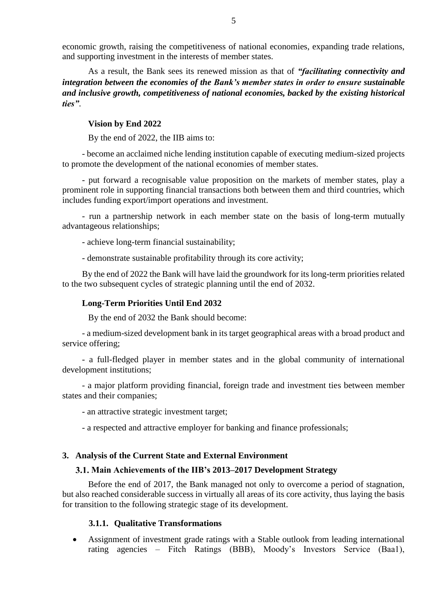economic growth, raising the competitiveness of national economies, expanding trade relations, and supporting investment in the interests of member states.

As a result, the Bank sees its renewed mission as that of *"facilitating connectivity and integration between the economies of the Bank's member states in order to ensure sustainable and inclusive growth, competitiveness of national economies, backed by the existing historical ties"*.

### **Vision by End 2022**

By the end of 2022, the IIB aims to:

- become an acclaimed niche lending institution capable of executing medium-sized projects to promote the development of the national economies of member states.

- put forward a recognisable value proposition on the markets of member states, play a prominent role in supporting financial transactions both between them and third countries, which includes funding export/import operations and investment.

- run a partnership network in each member state on the basis of long-term mutually advantageous relationships;

- achieve long-term financial sustainability;

- demonstrate sustainable profitability through its core activity;

By the end of 2022 the Bank will have laid the groundwork for its long-term priorities related to the two subsequent cycles of strategic planning until the end of 2032.

#### **Long-Term Priorities Until End 2032**

By the end of 2032 the Bank should become:

- a medium-sized development bank in its target geographical areas with a broad product and service offering;

- a full-fledged player in member states and in the global community of international development institutions;

- a major platform providing financial, foreign trade and investment ties between member states and their companies;

- an attractive strategic investment target;

- a respected and attractive employer for banking and finance professionals;

#### <span id="page-4-1"></span><span id="page-4-0"></span>**3. Analysis of the Current State and External Environment**

### **Main Achievements of the IIB's 2013–2017 Development Strategy**

Before the end of 2017, the Bank managed not only to overcome a period of stagnation, but also reached considerable success in virtually all areas of its core activity, thus laying the basis for transition to the following strategic stage of its development.

#### **3.1.1. Qualitative Transformations**

<span id="page-4-2"></span> Assignment of investment grade ratings with a Stable outlook from leading international rating agencies – Fitch Ratings (BBB), Moody's Investors Service (Baa1),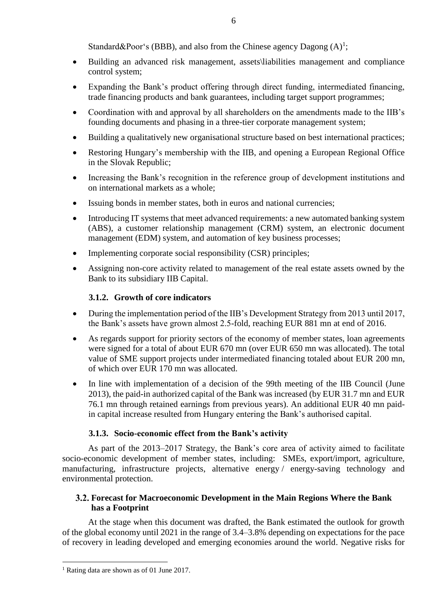Standard&Poor's (BBB), and also from the Chinese agency Dagong  $(A)^1$ ;

- Building an advanced risk management, assets\liabilities management and compliance control system;
- Expanding the Bank's product offering through direct funding, intermediated financing, trade financing products and bank guarantees, including target support programmes;
- Coordination with and approval by all shareholders on the amendments made to the IIB's founding documents and phasing in a three-tier corporate management system;
- Building a qualitatively new organisational structure based on best international practices;
- Restoring Hungary's membership with the IIB, and opening a European Regional Office in the Slovak Republic;
- Increasing the Bank's recognition in the reference group of development institutions and on international markets as a whole;
- Issuing bonds in member states, both in euros and national currencies;
- Introducing IT systems that meet advanced requirements: a new automated banking system (ABS), a customer relationship management (CRM) system, an electronic document management (EDM) system, and automation of key business processes;
- Implementing corporate social responsibility (CSR) principles;
- Assigning non-core activity related to management of the real estate assets owned by the Bank to its subsidiary IIB Capital.

# **3.1.2. Growth of core indicators**

- <span id="page-5-0"></span> During the implementation period of the IIB's Development Strategy from 2013 until 2017, the Bank's assets have grown almost 2.5-fold, reaching EUR 881 mn at end of 2016.
- As regards support for priority sectors of the economy of member states, loan agreements were signed for a total of about EUR 670 mn (over EUR 650 mn was allocated). The total value of SME support projects under intermediated financing totaled about EUR 200 mn, of which over EUR 170 mn was allocated.
- In line with implementation of a decision of the 99th meeting of the IIB Council (June 2013), the paid-in authorized capital of the Bank was increased (by EUR 31.7 mn and EUR 76.1 mn through retained earnings from previous years). An additional EUR 40 mn paidin capital increase resulted from Hungary entering the Bank's authorised capital.

# **3.1.3. Socio-economic effect from the Bank's activity**

<span id="page-5-1"></span>As part of the 2013–2017 Strategy, the Bank's core area of activity aimed to facilitate socio-economic development of member states, including: SMEs, export/import, agriculture, manufacturing, infrastructure projects, alternative energy / energy-saving technology and environmental protection.

## <span id="page-5-2"></span>**Forecast for Macroeconomic Development in the Main Regions Where the Bank has a Footprint**

At the stage when this document was drafted, the Bank estimated the outlook for growth of the global economy until 2021 in the range of 3.4–3.8% depending on expectations for the pace of recovery in leading developed and emerging economies around the world. Negative risks for

1

<sup>&</sup>lt;sup>1</sup> Rating data are shown as of 01 June 2017.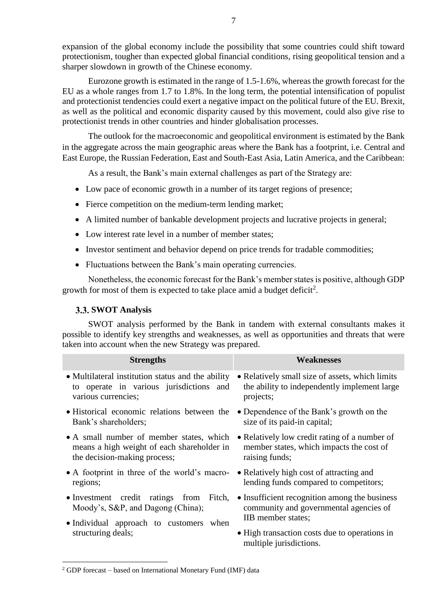expansion of the global economy include the possibility that some countries could shift toward protectionism, tougher than expected global financial conditions, rising geopolitical tension and a sharper slowdown in growth of the Chinese economy.

Eurozone growth is estimated in the range of 1.5-1.6%, whereas the growth forecast for the EU as a whole ranges from 1.7 to 1.8%. In the long term, the potential intensification of populist and protectionist tendencies could exert a negative impact on the political future of the EU. Brexit, as well as the political and economic disparity caused by this movement, could also give rise to protectionist trends in other countries and hinder globalisation processes.

The outlook for the macroeconomic and geopolitical environment is estimated by the Bank in the aggregate across the main geographic areas where the Bank has a footprint, i.e. Central and East Europe, the Russian Federation, East and South-East Asia, Latin America, and the Caribbean:

As a result, the Bank's main external challenges as part of the Strategy are:

- Low pace of economic growth in a number of its target regions of presence;
- Fierce competition on the medium-term lending market;
- A limited number of bankable development projects and lucrative projects in general;
- Low interest rate level in a number of member states:
- Investor sentiment and behavior depend on price trends for tradable commodities;
- Fluctuations between the Bank's main operating currencies.

Nonetheless, the economic forecast for the Bank's member states is positive, although GDP growth for most of them is expected to take place amid a budget deficit<sup>2</sup>.

## <span id="page-6-0"></span>**SWOT Analysis**

SWOT analysis performed by the Bank in tandem with external consultants makes it possible to identify key strengths and weaknesses, as well as opportunities and threats that were taken into account when the new Strategy was prepared.

| <b>Strengths</b>                                  | Weaknesses                                                               |
|---------------------------------------------------|--------------------------------------------------------------------------|
| • Multilateral institution status and the ability | • Relatively small size of assets, which limits                          |
| to operate in various jurisdictions and           | the ability to independently implement large                             |
| various currencies;                               | projects;                                                                |
| • Historical economic relations between the       | • Dependence of the Bank's growth on the                                 |
| Bank's shareholders;                              | size of its paid-in capital;                                             |
| • A small number of member states, which          | • Relatively low credit rating of a number of                            |
| means a high weight of each shareholder in        | member states, which impacts the cost of                                 |
| the decision-making process;                      | raising funds;                                                           |
| • A footprint in three of the world's macro-      | • Relatively high cost of attracting and                                 |
| regions;                                          | lending funds compared to competitors;                                   |
| • Investment credit ratings from Fitch,           | • Insufficient recognition among the business                            |
| Moody's, S&P, and Dagong (China);                 | community and governmental agencies of                                   |
| • Individual approach to customers when           | IIB member states;                                                       |
| structuring deals;                                | • High transaction costs due to operations in<br>multiple jurisdictions. |

<sup>2</sup> GDP forecast – based on International Monetary Fund (IMF) data

1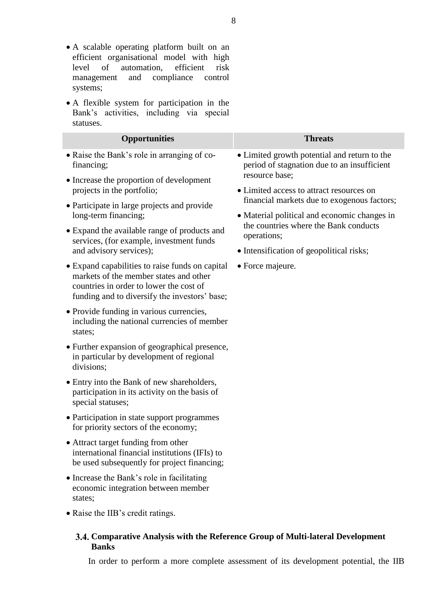- A scalable operating platform built on an efficient organisational model with high level of automation, efficient risk management and compliance control systems;
- A flexible system for participation in the Bank's activities, including via special statuses.

<span id="page-7-0"></span>**Banks** 

| <b>Opportunities</b>                                                                                                                                                                  | <b>Threats</b>                                                                                                                                      |  |  |  |  |  |
|---------------------------------------------------------------------------------------------------------------------------------------------------------------------------------------|-----------------------------------------------------------------------------------------------------------------------------------------------------|--|--|--|--|--|
| • Raise the Bank's role in arranging of co-<br>financing;                                                                                                                             | • Limited growth potential and return to the<br>period of stagnation due to an insufficient                                                         |  |  |  |  |  |
| • Increase the proportion of development<br>projects in the portfolio;                                                                                                                | resource base;<br>• Limited access to attract resources on                                                                                          |  |  |  |  |  |
| • Participate in large projects and provide<br>long-term financing;                                                                                                                   | financial markets due to exogenous factors;<br>• Material political and economic changes in<br>the countries where the Bank conducts<br>operations; |  |  |  |  |  |
| • Expand the available range of products and<br>services, (for example, investment funds                                                                                              |                                                                                                                                                     |  |  |  |  |  |
| and advisory services);                                                                                                                                                               | • Intensification of geopolitical risks;                                                                                                            |  |  |  |  |  |
| • Expand capabilities to raise funds on capital<br>markets of the member states and other<br>countries in order to lower the cost of<br>funding and to diversify the investors' base; | • Force majeure.                                                                                                                                    |  |  |  |  |  |
| • Provide funding in various currencies,<br>including the national currencies of member<br>states;                                                                                    |                                                                                                                                                     |  |  |  |  |  |
| • Further expansion of geographical presence,<br>in particular by development of regional<br>divisions;                                                                               |                                                                                                                                                     |  |  |  |  |  |
| • Entry into the Bank of new shareholders,<br>participation in its activity on the basis of<br>special statuses;                                                                      |                                                                                                                                                     |  |  |  |  |  |
| • Participation in state support programmes<br>for priority sectors of the economy;                                                                                                   |                                                                                                                                                     |  |  |  |  |  |
| • Attract target funding from other<br>international financial institutions (IFIs) to<br>be used subsequently for project financing;                                                  |                                                                                                                                                     |  |  |  |  |  |
| • Increase the Bank's role in facilitating<br>economic integration between member<br>states;                                                                                          |                                                                                                                                                     |  |  |  |  |  |
| • Raise the IIB's credit ratings.                                                                                                                                                     |                                                                                                                                                     |  |  |  |  |  |
|                                                                                                                                                                                       | 3.4. Comparative Analysis with the Reference Group of Multi-lateral Development                                                                     |  |  |  |  |  |

In order to perform a more complete assessment of its development potential, the IIB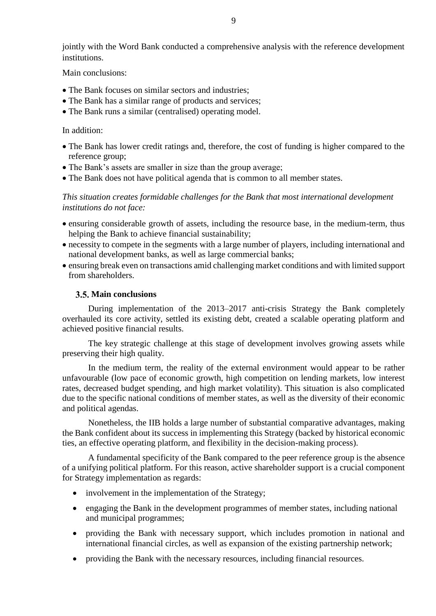jointly with the Word Bank conducted a comprehensive analysis with the reference development institutions.

Main conclusions:

- The Bank focuses on similar sectors and industries:
- The Bank has a similar range of products and services;
- The Bank runs a similar (centralised) operating model.

In addition:

- The Bank has lower credit ratings and, therefore, the cost of funding is higher compared to the reference group;
- The Bank's assets are smaller in size than the group average;
- The Bank does not have political agenda that is common to all member states.

*This situation creates formidable challenges for the Bank that most international development institutions do not face:*

- ensuring considerable growth of assets, including the resource base, in the medium-term, thus helping the Bank to achieve financial sustainability;
- necessity to compete in the segments with a large number of players, including international and national development banks, as well as large commercial banks;
- ensuring break even on transactions amid challenging market conditions and with limited support from shareholders.

### <span id="page-8-0"></span>**Main conclusions**

During implementation of the 2013–2017 anti-crisis Strategy the Bank completely overhauled its core activity, settled its existing debt, created a scalable operating platform and achieved positive financial results.

The key strategic challenge at this stage of development involves growing assets while preserving their high quality.

In the medium term, the reality of the external environment would appear to be rather unfavourable (low pace of economic growth, high competition on lending markets, low interest rates, decreased budget spending, and high market volatility). This situation is also complicated due to the specific national conditions of member states, as well as the diversity of their economic and political agendas.

Nonetheless, the IIB holds a large number of substantial comparative advantages, making the Bank confident about its success in implementing this Strategy (backed by historical economic ties, an effective operating platform, and flexibility in the decision-making process).

A fundamental specificity of the Bank compared to the peer reference group is the absence of a unifying political platform. For this reason, active shareholder support is a crucial component for Strategy implementation as regards:

- involvement in the implementation of the Strategy;
- engaging the Bank in the development programmes of member states, including national and municipal programmes;
- providing the Bank with necessary support, which includes promotion in national and international financial circles, as well as expansion of the existing partnership network;
- providing the Bank with the necessary resources, including financial resources.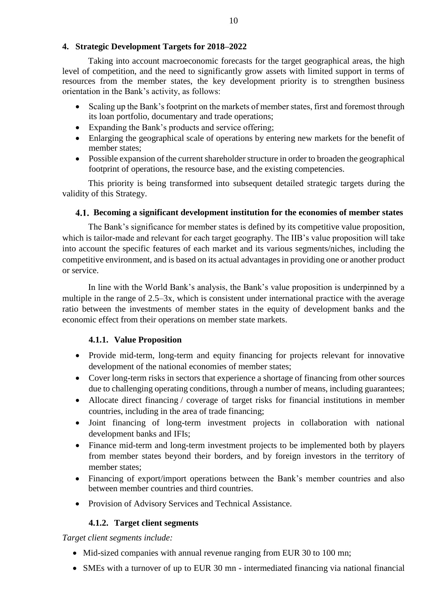<span id="page-9-0"></span>Taking into account macroeconomic forecasts for the target geographical areas, the high level of competition, and the need to significantly grow assets with limited support in terms of resources from the member states, the key development priority is to strengthen business orientation in the Bank's activity, as follows:

- Scaling up the Bank's footprint on the markets of member states, first and foremost through its loan portfolio, documentary and trade operations;
- Expanding the Bank's products and service offering;
- Enlarging the geographical scale of operations by entering new markets for the benefit of member states;
- Possible expansion of the current shareholder structure in order to broaden the geographical footprint of operations, the resource base, and the existing competencies.

This priority is being transformed into subsequent detailed strategic targets during the validity of this Strategy.

# <span id="page-9-1"></span>**Becoming a significant development institution for the economies of member states**

The Bank's significance for member states is defined by its competitive value proposition, which is tailor-made and relevant for each target geography. The IIB's value proposition will take into account the specific features of each market and its various segments/niches, including the competitive environment, and is based on its actual advantages in providing one or another product or service.

In line with the World Bank's analysis, the Bank's value proposition is underpinned by a multiple in the range of 2.5–3x, which is consistent under international practice with the average ratio between the investments of member states in the equity of development banks and the economic effect from their operations on member state markets.

# **4.1.1. Value Proposition**

- <span id="page-9-2"></span>• Provide mid-term, long-term and equity financing for projects relevant for innovative development of the national economies of member states;
- Cover long-term risks in sectors that experience a shortage of financing from other sources due to challenging operating conditions, through a number of means, including guarantees;
- Allocate direct financing / coverage of target risks for financial institutions in member countries, including in the area of trade financing;
- Joint financing of long-term investment projects in collaboration with national development banks and IFIs;
- Finance mid-term and long-term investment projects to be implemented both by players from member states beyond their borders, and by foreign investors in the territory of member states;
- Financing of export/import operations between the Bank's member countries and also between member countries and third countries.
- Provision of Advisory Services and Technical Assistance.

# **4.1.2. Target client segments**

<span id="page-9-3"></span>*Target client segments include:*

- Mid-sized companies with annual revenue ranging from EUR 30 to 100 mn;
- SMEs with a turnover of up to EUR 30 mn intermediated financing via national financial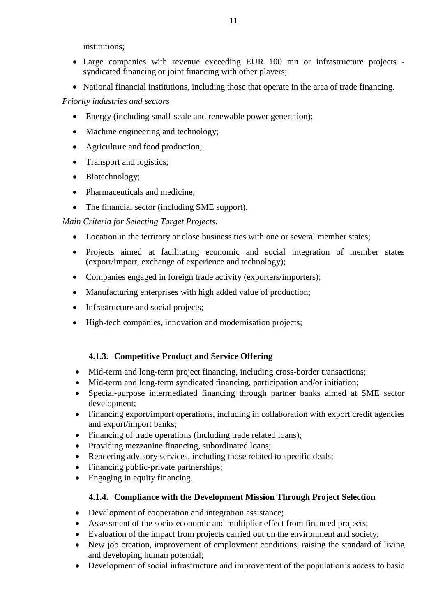institutions;

- Large companies with revenue exceeding EUR 100 mn or infrastructure projects syndicated financing or joint financing with other players;
- National financial institutions, including those that operate in the area of trade financing.

# *Priority industries and sectors*

- Energy (including small-scale and renewable power generation);
- Machine engineering and technology;
- Agriculture and food production;
- Transport and logistics;
- Biotechnology;
- Pharmaceuticals and medicine;
- The financial sector (including SME support).

*Main Criteria for Selecting Target Projects:*

- Location in the territory or close business ties with one or several member states;
- Projects aimed at facilitating economic and social integration of member states (export/import, exchange of experience and technology);
- Companies engaged in foreign trade activity (exporters/importers);
- Manufacturing enterprises with high added value of production;
- Infrastructure and social projects;
- High-tech companies, innovation and modernisation projects;

# **4.1.3. Competitive Product and Service Offering**

- <span id="page-10-0"></span>Mid-term and long-term project financing, including cross-border transactions;
- Mid-term and long-term syndicated financing, participation and/or initiation;
- Special-purpose intermediated financing through partner banks aimed at SME sector development;
- Financing export/import operations, including in collaboration with export credit agencies and export/import banks;
- Financing of trade operations (including trade related loans);
- Providing mezzanine financing, subordinated loans;
- Rendering advisory services, including those related to specific deals;
- Financing public-private partnerships;
- <span id="page-10-1"></span>• Engaging in equity financing.

# **4.1.4. Compliance with the Development Mission Through Project Selection**

- Development of cooperation and integration assistance;
- Assessment of the socio-economic and multiplier effect from financed projects;
- Evaluation of the impact from projects carried out on the environment and society;
- New job creation, improvement of employment conditions, raising the standard of living and developing human potential;
- Development of social infrastructure and improvement of the population's access to basic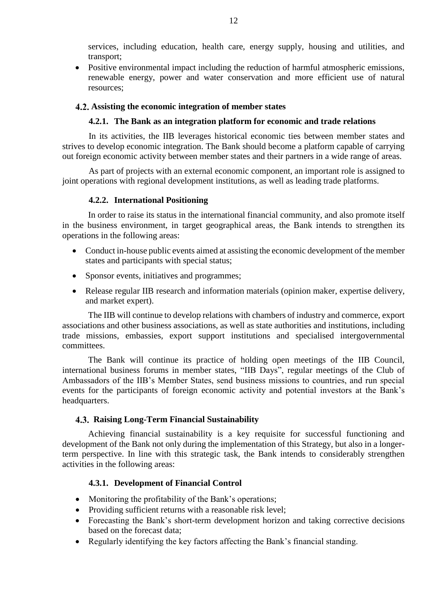services, including education, health care, energy supply, housing and utilities, and transport;

• Positive environmental impact including the reduction of harmful atmospheric emissions, renewable energy, power and water conservation and more efficient use of natural resources;

## <span id="page-11-0"></span>**Assisting the economic integration of member states**

## **4.2.1. The Bank as an integration platform for economic and trade relations**

<span id="page-11-1"></span>In its activities, the IIB leverages historical economic ties between member states and strives to develop economic integration. The Bank should become a platform capable of carrying out foreign economic activity between member states and their partners in a wide range of areas.

As part of projects with an external economic component, an important role is assigned to joint operations with regional development institutions, as well as leading trade platforms.

## **4.2.2. International Positioning**

<span id="page-11-2"></span>In order to raise its status in the international financial community, and also promote itself in the business environment, in target geographical areas, the Bank intends to strengthen its operations in the following areas:

- Conduct in-house public events aimed at assisting the economic development of the member states and participants with special status;
- Sponsor events, initiatives and programmes;
- Release regular IIB research and information materials (opinion maker, expertise delivery, and market expert).

The IIB will continue to develop relations with chambers of industry and commerce, export associations and other business associations, as well as state authorities and institutions, including trade missions, embassies, export support institutions and specialised intergovernmental committees.

The Bank will continue its practice of holding open meetings of the IIB Council, international business forums in member states, "IIB Days", regular meetings of the Club of Ambassadors of the IIB's Member States, send business missions to countries, and run special events for the participants of foreign economic activity and potential investors at the Bank's headquarters.

# <span id="page-11-3"></span>**Raising Long-Term Financial Sustainability**

Achieving financial sustainability is a key requisite for successful functioning and development of the Bank not only during the implementation of this Strategy, but also in a longerterm perspective. In line with this strategic task, the Bank intends to considerably strengthen activities in the following areas:

# **4.3.1. Development of Financial Control**

- <span id="page-11-4"></span>• Monitoring the profitability of the Bank's operations;
- Providing sufficient returns with a reasonable risk level;
- Forecasting the Bank's short-term development horizon and taking corrective decisions based on the forecast data;
- Regularly identifying the key factors affecting the Bank's financial standing.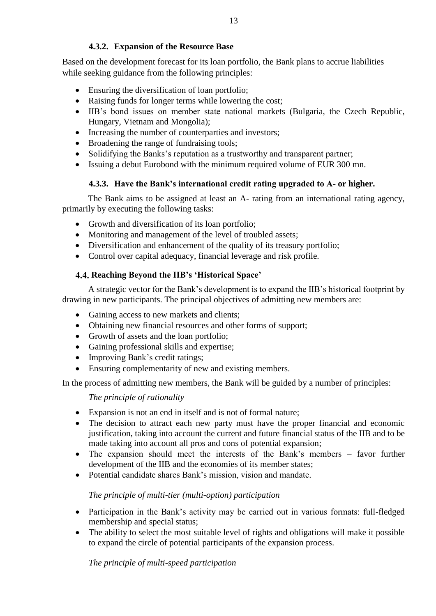# **4.3.2. Expansion of the Resource Base**

<span id="page-12-0"></span>Based on the development forecast for its loan portfolio, the Bank plans to accrue liabilities while seeking guidance from the following principles:

- Ensuring the diversification of loan portfolio;
- Raising funds for longer terms while lowering the cost;
- IIB's bond issues on member state national markets (Bulgaria, the Czech Republic, Hungary, Vietnam and Mongolia);
- Increasing the number of counterparties and investors;
- Broadening the range of fundraising tools;
- Solidifying the Banks's reputation as a trustworthy and transparent partner;
- Issuing a debut Eurobond with the minimum required volume of EUR 300 mn.

# **4.3.3. Have the Bank's international credit rating upgraded to A- or higher.**

<span id="page-12-1"></span>The Bank aims to be assigned at least an A- rating from an international rating agency, primarily by executing the following tasks:

- Growth and diversification of its loan portfolio;
- Monitoring and management of the level of troubled assets;
- Diversification and enhancement of the quality of its treasury portfolio;
- Control over capital adequacy, financial leverage and risk profile.

# <span id="page-12-2"></span>**Reaching Beyond the IIB's 'Historical Space'**

A strategic vector for the Bank's development is to expand the IIB's historical footprint by drawing in new participants. The principal objectives of admitting new members are:

- Gaining access to new markets and clients;
- Obtaining new financial resources and other forms of support;
- Growth of assets and the loan portfolio:
- Gaining professional skills and expertise;
- Improving Bank's credit ratings;
- Ensuring complementarity of new and existing members.

In the process of admitting new members, the Bank will be guided by a number of principles:

*The principle of rationality*

- Expansion is not an end in itself and is not of formal nature;
- The decision to attract each new party must have the proper financial and economic justification, taking into account the current and future financial status of the IIB and to be made taking into account all pros and cons of potential expansion;
- The expansion should meet the interests of the Bank's members favor further development of the IIB and the economies of its member states;
- Potential candidate shares Bank's mission, vision and mandate.

# *The principle of multi-tier (multi-option) participation*

- Participation in the Bank's activity may be carried out in various formats: full-fledged membership and special status;
- The ability to select the most suitable level of rights and obligations will make it possible to expand the circle of potential participants of the expansion process.

*The principle of multi-speed participation*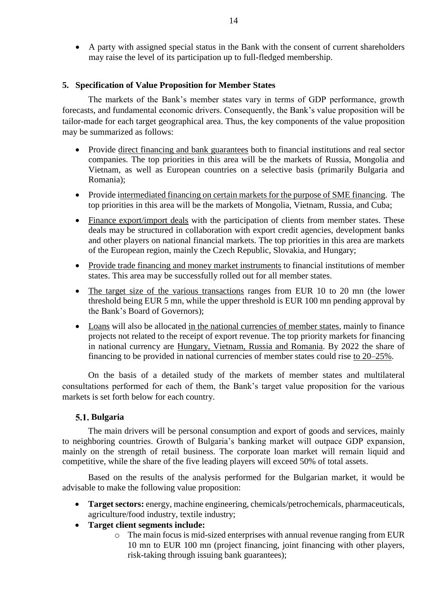A party with assigned special status in the Bank with the consent of current shareholders may raise the level of its participation up to full-fledged membership.

## <span id="page-13-0"></span>**5. Specification of Value Proposition for Member States**

The markets of the Bank's member states vary in terms of GDP performance, growth forecasts, and fundamental economic drivers. Consequently, the Bank's value proposition will be tailor-made for each target geographical area. Thus, the key components of the value proposition may be summarized as follows:

- Provide direct financing and bank guarantees both to financial institutions and real sector companies. The top priorities in this area will be the markets of Russia, Mongolia and Vietnam, as well as European countries on a selective basis (primarily Bulgaria and Romania);
- Provide intermediated financing on certain markets for the purpose of SME financing. The top priorities in this area will be the markets of Mongolia, Vietnam, Russia, and Cuba;
- Finance export/import deals with the participation of clients from member states. These deals may be structured in collaboration with export credit agencies, development banks and other players on national financial markets. The top priorities in this area are markets of the European region, mainly the Czech Republic, Slovakia, and Hungary;
- Provide trade financing and money market instruments to financial institutions of member states. This area may be successfully rolled out for all member states.
- The target size of the various transactions ranges from EUR 10 to 20 mn (the lower threshold being EUR 5 mn, while the upper threshold is EUR 100 mn pending approval by the Bank's Board of Governors);
- Loans will also be allocated in the national currencies of member states, mainly to finance projects not related to the receipt of export revenue. The top priority markets for financing in national currency are Hungary, Vietnam, Russia and Romania. By 2022 the share of financing to be provided in national currencies of member states could rise to 20–25%.

On the basis of a detailed study of the markets of member states and multilateral consultations performed for each of them, the Bank's target value proposition for the various markets is set forth below for each country.

## <span id="page-13-1"></span>**Bulgaria**

The main drivers will be personal consumption and export of goods and services, mainly to neighboring countries. Growth of Bulgaria's banking market will outpace GDP expansion, mainly on the strength of retail business. The corporate loan market will remain liquid and competitive, while the share of the five leading players will exceed 50% of total assets.

Based on the results of the analysis performed for the Bulgarian market, it would be advisable to make the following value proposition:

- **Target sectors:** energy, machine engineering, chemicals/petrochemicals, pharmaceuticals, agriculture/food industry, textile industry;
- **Target client segments include:** 
	- o The main focus is mid-sized enterprises with annual revenue ranging from EUR 10 mn to EUR 100 mn (project financing, joint financing with other players, risk-taking through issuing bank guarantees);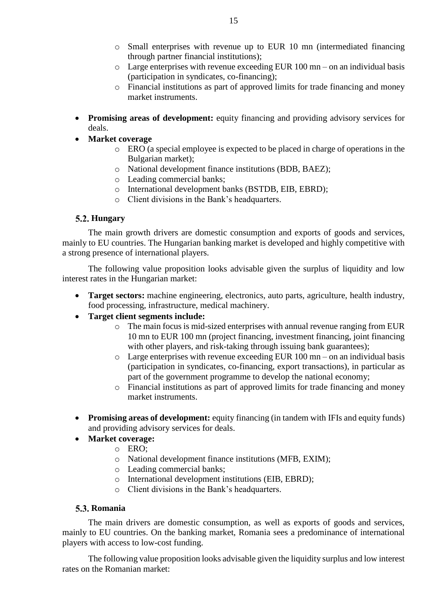- o Small enterprises with revenue up to EUR 10 mn (intermediated financing through partner financial institutions);
- o Large enterprises with revenue exceeding EUR 100 mn on an individual basis (participation in syndicates, co-financing);
- o Financial institutions as part of approved limits for trade financing and money market instruments.
- **Promising areas of development:** equity financing and providing advisory services for deals.
- **Market coverage** 
	- o ERO (a special employee is expected to be placed in charge of operations in the Bulgarian market);
	- o National development finance institutions (BDB, BAEZ);
	- o Leading commercial banks;
	- o International development banks (BSTDB, EIB, EBRD);
	- o Client divisions in the Bank's headquarters.

# <span id="page-14-0"></span>**Hungary**

The main growth drivers are domestic consumption and exports of goods and services, mainly to EU countries. The Hungarian banking market is developed and highly competitive with a strong presence of international players.

The following value proposition looks advisable given the surplus of liquidity and low interest rates in the Hungarian market:

- **Target sectors:** machine engineering, electronics, auto parts, agriculture, health industry, food processing, infrastructure, medical machinery.
- **Target client segments include:**
	- o The main focus is mid-sized enterprises with annual revenue ranging from EUR 10 mn to EUR 100 mn (project financing, investment financing, joint financing with other players, and risk-taking through issuing bank guarantees);
	- $\circ$  Large enterprises with revenue exceeding EUR 100 mn on an individual basis (participation in syndicates, co-financing, export transactions), in particular as part of the government programme to develop the national economy;
	- o Financial institutions as part of approved limits for trade financing and money market instruments.
- Promising areas of development: equity financing (in tandem with IFIs and equity funds) and providing advisory services for deals.
- **Market coverage:**
	- o ERO;
	- o National development finance institutions (MFB, EXIM);
	- o Leading commercial banks;
	- o International development institutions (EIB, EBRD);
	- o Client divisions in the Bank's headquarters.

## <span id="page-14-1"></span>**Romania**

The main drivers are domestic consumption, as well as exports of goods and services, mainly to EU countries. On the banking market, Romania sees a predominance of international players with access to low-cost funding.

The following value proposition looks advisable given the liquidity surplus and low interest rates on the Romanian market: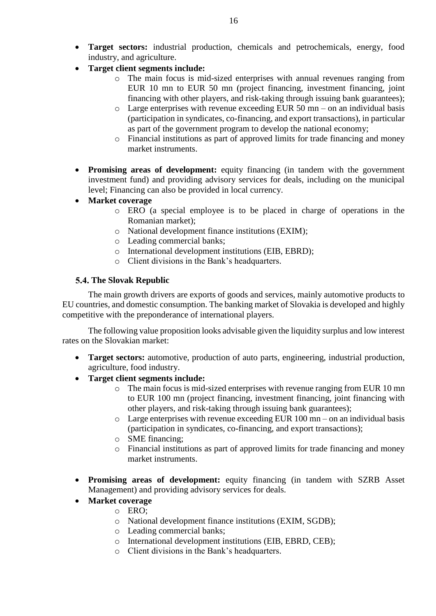- **Target sectors:** industrial production, chemicals and petrochemicals, energy, food industry, and agriculture.
- **Target client segments include:** 
	- o The main focus is mid-sized enterprises with annual revenues ranging from EUR 10 mn to EUR 50 mn (project financing, investment financing, joint financing with other players, and risk-taking through issuing bank guarantees);
	- $\circ$  Large enterprises with revenue exceeding EUR 50 mn on an individual basis (participation in syndicates, co-financing, and export transactions), in particular as part of the government program to develop the national economy;
	- o Financial institutions as part of approved limits for trade financing and money market instruments.
- **Promising areas of development:** equity financing (in tandem with the government investment fund) and providing advisory services for deals, including on the municipal level; Financing can also be provided in local currency.
- **Market coverage** 
	- o ERO (a special employee is to be placed in charge of operations in the Romanian market);
	- o National development finance institutions (EXIM);
	- o Leading commercial banks;
	- o International development institutions (EIB, EBRD);
	- o Client divisions in the Bank's headquarters.

# <span id="page-15-0"></span>**The Slovak Republic**

The main growth drivers are exports of goods and services, mainly automotive products to EU countries, and domestic consumption. The banking market of Slovakia is developed and highly competitive with the preponderance of international players.

The following value proposition looks advisable given the liquidity surplus and low interest rates on the Slovakian market:

- **Target sectors:** automotive, production of auto parts, engineering, industrial production, agriculture, food industry.
- **Target client segments include:** 
	- o The main focus is mid-sized enterprises with revenue ranging from EUR 10 mn to EUR 100 mn (project financing, investment financing, joint financing with other players, and risk-taking through issuing bank guarantees);
	- $\circ$  Large enterprises with revenue exceeding EUR 100 mn on an individual basis (participation in syndicates, co-financing, and export transactions);
	- o SME financing;
	- o Financial institutions as part of approved limits for trade financing and money market instruments.
- **Promising areas of development:** equity financing (in tandem with SZRB Asset Management) and providing advisory services for deals.
- **Market coverage** 
	- o ERO;
	- o National development finance institutions (EXIM, SGDB);
	- o Leading commercial banks;
	- o International development institutions (EIB, EBRD, CEB);
	- o Client divisions in the Bank's headquarters.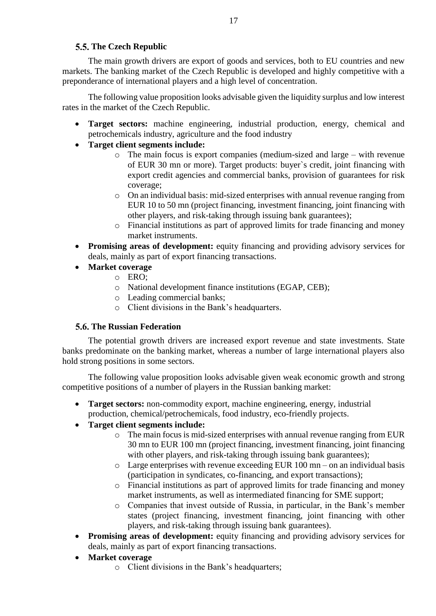# **The Czech Republic**

<span id="page-16-0"></span>The main growth drivers are export of goods and services, both to EU countries and new markets. The banking market of the Czech Republic is developed and highly competitive with a preponderance of international players and a high level of concentration.

The following value proposition looks advisable given the liquidity surplus and low interest rates in the market of the Czech Republic.

- **Target sectors:** machine engineering, industrial production, energy, chemical and petrochemicals industry, agriculture and the food industry
- **Target client segments include:** 
	- o The main focus is export companies (medium-sized and large with revenue of EUR 30 mn or more). Target products: buyer`s credit, joint financing with export credit agencies and commercial banks, provision of guarantees for risk coverage;
	- o On an individual basis: mid-sized enterprises with annual revenue ranging from EUR 10 to 50 mn (project financing, investment financing, joint financing with other players, and risk-taking through issuing bank guarantees);
	- o Financial institutions as part of approved limits for trade financing and money market instruments.
- **Promising areas of development:** equity financing and providing advisory services for deals, mainly as part of export financing transactions.
- **Market coverage** 
	- o ERO;
	- o National development finance institutions (EGAP, CEB);
	- o Leading commercial banks;
	- o Client divisions in the Bank's headquarters.

# <span id="page-16-1"></span>**The Russian Federation**

The potential growth drivers are increased export revenue and state investments. State banks predominate on the banking market, whereas a number of large international players also hold strong positions in some sectors.

The following value proposition looks advisable given weak economic growth and strong competitive positions of a number of players in the Russian banking market:

- **Target sectors:** non-commodity export, machine engineering, energy, industrial production, chemical/petrochemicals, food industry, eco-friendly projects.
- **Target client segments include:** 
	- $\circ$  The main focus is mid-sized enterprises with annual revenue ranging from EUR 30 mn to EUR 100 mn (project financing, investment financing, joint financing with other players, and risk-taking through issuing bank guarantees);
	- o Large enterprises with revenue exceeding EUR 100 mn on an individual basis (participation in syndicates, co-financing, and export transactions);
	- o Financial institutions as part of approved limits for trade financing and money market instruments, as well as intermediated financing for SME support;
	- o Companies that invest outside of Russia, in particular, in the Bank's member states (project financing, investment financing, joint financing with other players, and risk-taking through issuing bank guarantees).
- **Promising areas of development:** equity financing and providing advisory services for deals, mainly as part of export financing transactions.
- **Market coverage** 
	- o Client divisions in the Bank's headquarters;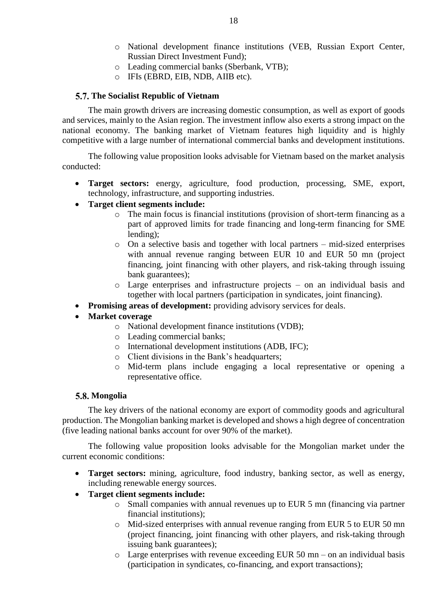- o National development finance institutions (VEB, Russian Export Center, Russian Direct Investment Fund);
- o Leading commercial banks (Sberbank, VTB);
- o IFIs (EBRD, EIB, NDB, AIIB etc).

### <span id="page-17-0"></span>**The Socialist Republic of Vietnam**

The main growth drivers are increasing domestic consumption, as well as export of goods and services, mainly to the Asian region. The investment inflow also exerts a strong impact on the national economy. The banking market of Vietnam features high liquidity and is highly competitive with a large number of international commercial banks and development institutions.

The following value proposition looks advisable for Vietnam based on the market analysis conducted:

- **Target sectors:** energy, agriculture, food production, processing, SME, export, technology, infrastructure, and supporting industries.
- **Target client segments include:** 
	- o The main focus is financial institutions (provision of short-term financing as a part of approved limits for trade financing and long-term financing for SME lending);
	- o On a selective basis and together with local partners mid-sized enterprises with annual revenue ranging between EUR 10 and EUR 50 mn (project financing, joint financing with other players, and risk-taking through issuing bank guarantees);
	- o Large enterprises and infrastructure projects on an individual basis and together with local partners (participation in syndicates, joint financing).
- **Promising areas of development:** providing advisory services for deals.

# **Market coverage**

- o National development finance institutions (VDB);
- o Leading commercial banks;
- o International development institutions (ADB, IFC);
- o Client divisions in the Bank's headquarters;
- o Mid-term plans include engaging a local representative or opening a representative office.

## <span id="page-17-1"></span>5.8. Mongolia

The key drivers of the national economy are export of commodity goods and agricultural production. The Mongolian banking market is developed and shows a high degree of concentration (five leading national banks account for over 90% of the market).

The following value proposition looks advisable for the Mongolian market under the current economic conditions:

- **Target sectors:** mining, agriculture, food industry, banking sector, as well as energy, including renewable energy sources.
- **Target client segments include:** 
	- o Small companies with annual revenues up to EUR 5 mn (financing via partner financial institutions);
	- o Mid-sized enterprises with annual revenue ranging from EUR 5 to EUR 50 mn (project financing, joint financing with other players, and risk-taking through issuing bank guarantees);
	- $\circ$  Large enterprises with revenue exceeding EUR 50 mn on an individual basis (participation in syndicates, co-financing, and export transactions);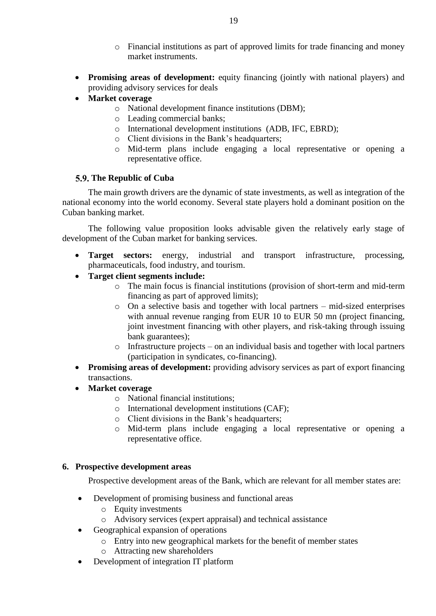- o Financial institutions as part of approved limits for trade financing and money market instruments.
- **Promising areas of development:** equity financing (jointly with national players) and providing advisory services for deals
- **Market coverage** 
	- o National development finance institutions (DBM);
	- o Leading commercial banks;
	- o International development institutions (ADB, IFC, EBRD);
	- o Client divisions in the Bank's headquarters;
	- o Mid-term plans include engaging a local representative or opening a representative office.

# <span id="page-18-0"></span>**The Republic of Cuba**

The main growth drivers are the dynamic of state investments, as well as integration of the national economy into the world economy. Several state players hold a dominant position on the Cuban banking market.

The following value proposition looks advisable given the relatively early stage of development of the Cuban market for banking services.

- **Target sectors:** energy, industrial and transport infrastructure, processing, pharmaceuticals, food industry, and tourism.
- **Target client segments include:** 
	- o The main focus is financial institutions (provision of short-term and mid-term financing as part of approved limits);
	- o On a selective basis and together with local partners mid-sized enterprises with annual revenue ranging from EUR 10 to EUR 50 mn (project financing, joint investment financing with other players, and risk-taking through issuing bank guarantees);
	- o Infrastructure projects on an individual basis and together with local partners (participation in syndicates, co-financing).
- **Promising areas of development:** providing advisory services as part of export financing transactions.
- **Market coverage** 
	- o National financial institutions;
	- o International development institutions (CAF);
	- o Client divisions in the Bank's headquarters;
	- o Mid-term plans include engaging a local representative or opening a representative office.

# <span id="page-18-1"></span>**6. Prospective development areas**

Prospective development areas of the Bank, which are relevant for all member states are:

- Development of promising business and functional areas
	- o Equity investments
	- o Advisory services (expert appraisal) and technical assistance
- Geographical expansion of operations
	- o Entry into new geographical markets for the benefit of member states
	- o Attracting new shareholders
- Development of integration IT platform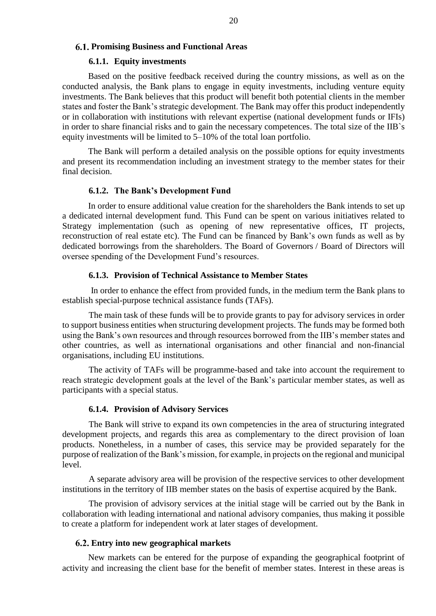## <span id="page-19-0"></span>**Promising Business and Functional Areas**

#### **6.1.1. Equity investments**

<span id="page-19-1"></span>Based on the positive feedback received during the country missions, as well as on the conducted analysis, the Bank plans to engage in equity investments, including venture equity investments. The Bank believes that this product will benefit both potential clients in the member states and foster the Bank's strategic development. The Bank may offer this product independently or in collaboration with institutions with relevant expertise (national development funds or IFIs) in order to share financial risks and to gain the necessary competences. The total size of the IIB`s equity investments will be limited to 5–10% of the total loan portfolio.

The Bank will perform a detailed analysis on the possible options for equity investments and present its recommendation including an investment strategy to the member states for their final decision.

#### **6.1.2. The Bank's Development Fund**

<span id="page-19-2"></span>In order to ensure additional value creation for the shareholders the Bank intends to set up a dedicated internal development fund. This Fund can be spent on various initiatives related to Strategy implementation (such as opening of new representative offices, IT projects, reconstruction of real estate etc). The Fund can be financed by Bank's own funds as well as by dedicated borrowings from the shareholders. The Board of Governors / Board of Directors will oversee spending of the Development Fund's resources.

#### **6.1.3. Provision of Technical Assistance to Member States**

<span id="page-19-3"></span>In order to enhance the effect from provided funds, in the medium term the Bank plans to establish special-purpose technical assistance funds (TAFs).

The main task of these funds will be to provide grants to pay for advisory services in order to support business entities when structuring development projects. The funds may be formed both using the Bank's own resources and through resources borrowed from the IIB's member states and other countries, as well as international organisations and other financial and non-financial organisations, including EU institutions.

The activity of TAFs will be programme-based and take into account the requirement to reach strategic development goals at the level of the Bank's particular member states, as well as participants with a special status.

#### **6.1.4. Provision of Advisory Services**

<span id="page-19-4"></span>The Bank will strive to expand its own competencies in the area of structuring integrated development projects, and regards this area as complementary to the direct provision of loan products. Nonetheless, in a number of cases, this service may be provided separately for the purpose of realization of the Bank's mission, for example, in projects on the regional and municipal level.

A separate advisory area will be provision of the respective services to other development institutions in the territory of IIB member states on the basis of expertise acquired by the Bank.

The provision of advisory services at the initial stage will be carried out by the Bank in collaboration with leading international and national advisory companies, thus making it possible to create a platform for independent work at later stages of development.

## <span id="page-19-5"></span>**Entry into new geographical markets**

New markets can be entered for the purpose of expanding the geographical footprint of activity and increasing the client base for the benefit of member states. Interest in these areas is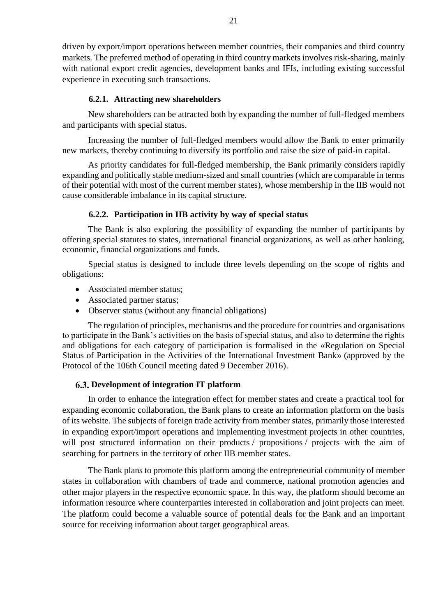driven by export/import operations between member countries, their companies and third country markets. The preferred method of operating in third country markets involves risk-sharing, mainly with national export credit agencies, development banks and IFIs, including existing successful experience in executing such transactions.

#### **6.2.1. Attracting new shareholders**

<span id="page-20-0"></span>New shareholders can be attracted both by expanding the number of full-fledged members and participants with special status.

Increasing the number of full-fledged members would allow the Bank to enter primarily new markets, thereby continuing to diversify its portfolio and raise the size of paid-in capital.

As priority candidates for full-fledged membership, the Bank primarily considers rapidly expanding and politically stable medium-sized and small countries (which are comparable in terms of their potential with most of the current member states), whose membership in the IIB would not cause considerable imbalance in its capital structure.

### **6.2.2. Participation in IIB activity by way of special status**

<span id="page-20-1"></span>The Bank is also exploring the possibility of expanding the number of participants by offering special statutes to states, international financial organizations, as well as other banking, economic, financial organizations and funds.

Special status is designed to include three levels depending on the scope of rights and obligations:

- Associated member status;
- Associated partner status;
- Observer status (without any financial obligations)

The regulation of principles, mechanisms and the procedure for countries and organisations to participate in the Bank's activities on the basis of special status, and also to determine the rights and obligations for each category of participation is formalised in the «Regulation on Special Status of Participation in the Activities of the International Investment Bank» (approved by the Protocol of the 106th Council meeting dated 9 December 2016).

## <span id="page-20-2"></span>**Development of integration IT platform**

In order to enhance the integration effect for member states and create a practical tool for expanding economic collaboration, the Bank plans to create an information platform on the basis of its website. The subjects of foreign trade activity from member states, primarily those interested in expanding export/import operations and implementing investment projects in other countries, will post structured information on their products / propositions / projects with the aim of searching for partners in the territory of other IIB member states.

The Bank plans to promote this platform among the entrepreneurial community of member states in collaboration with chambers of trade and commerce, national promotion agencies and other major players in the respective economic space. In this way, the platform should become an information resource where counterparties interested in collaboration and joint projects can meet. The platform could become a valuable source of potential deals for the Bank and an important source for receiving information about target geographical areas.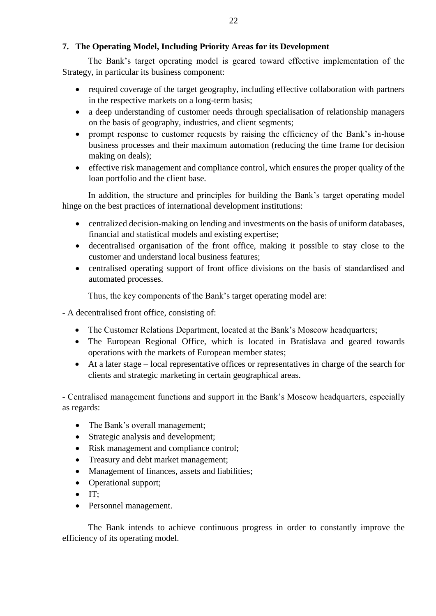# <span id="page-21-0"></span>**7. The Operating Model, Including Priority Areas for its Development**

The Bank's target operating model is geared toward effective implementation of the Strategy, in particular its business component:

- required coverage of the target geography, including effective collaboration with partners in the respective markets on a long-term basis;
- a deep understanding of customer needs through specialisation of relationship managers on the basis of geography, industries, and client segments;
- prompt response to customer requests by raising the efficiency of the Bank's in-house business processes and their maximum automation (reducing the time frame for decision making on deals);
- effective risk management and compliance control, which ensures the proper quality of the loan portfolio and the client base.

In addition, the structure and principles for building the Bank's target operating model hinge on the best practices of international development institutions:

- centralized decision-making on lending and investments on the basis of uniform databases, financial and statistical models and existing expertise;
- decentralised organisation of the front office, making it possible to stay close to the customer and understand local business features;
- centralised operating support of front office divisions on the basis of standardised and automated processes.

Thus, the key components of the Bank's target operating model are:

- A decentralised front office, consisting of:

- The Customer Relations Department, located at the Bank's Moscow headquarters;
- The European Regional Office, which is located in Bratislava and geared towards operations with the markets of European member states;
- At a later stage local representative offices or representatives in charge of the search for clients and strategic marketing in certain geographical areas.

- Centralised management functions and support in the Bank's Moscow headquarters, especially as regards:

- The Bank's overall management;
- Strategic analysis and development;
- Risk management and compliance control;
- Treasury and debt market management;
- Management of finances, assets and liabilities;
- Operational support;
- $\bullet$  IT:
- Personnel management.

The Bank intends to achieve continuous progress in order to constantly improve the efficiency of its operating model.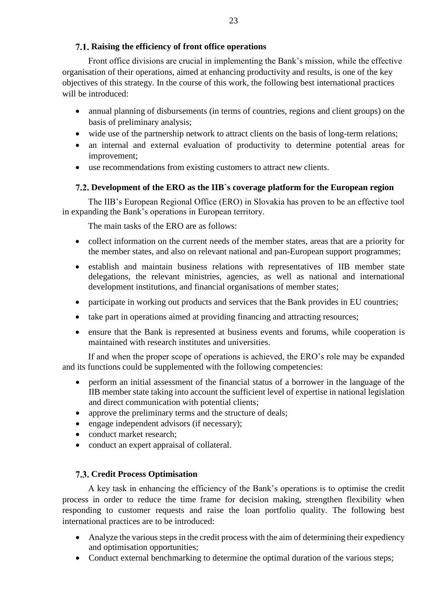# <span id="page-22-0"></span>**Raising the efficiency of front office operations**

Front office divisions are crucial in implementing the Bank's mission, while the effective organisation of their operations, aimed at enhancing productivity and results, is one of the key objectives of this strategy. In the course of this work, the following best international practices will be introduced:

- annual planning of disbursements (in terms of countries, regions and client groups) on the basis of preliminary analysis;
- wide use of the partnership network to attract clients on the basis of long-term relations;
- an internal and external evaluation of productivity to determine potential areas for improvement;
- use recommendations from existing customers to attract new clients.

# <span id="page-22-1"></span>**Development of the ERO as the IIB`s coverage platform for the European region**

The IIB's European Regional Office (ERO) in Slovakia has proven to be an effective tool in expanding the Bank's operations in European territory.

The main tasks of the ERO are as follows:

- collect information on the current needs of the member states, areas that are a priority for the member states, and also on relevant national and pan-European support programmes;
- establish and maintain business relations with representatives of IIB member state delegations, the relevant ministries, agencies, as well as national and international development institutions, and financial organisations of member states;
- participate in working out products and services that the Bank provides in EU countries;
- take part in operations aimed at providing financing and attracting resources;
- ensure that the Bank is represented at business events and forums, while cooperation is maintained with research institutes and universities.

If and when the proper scope of operations is achieved, the ERO's role may be expanded and its functions could be supplemented with the following competencies:

- perform an initial assessment of the financial status of a borrower in the language of the IIB member state taking into account the sufficient level of expertise in national legislation and direct communication with potential clients;
- approve the preliminary terms and the structure of deals;
- engage independent advisors (if necessary);
- conduct market research;
- conduct an expert appraisal of collateral.

## <span id="page-22-2"></span>**Credit Process Optimisation**

A key task in enhancing the efficiency of the Bank's operations is to optimise the credit process in order to reduce the time frame for decision making, strengthen flexibility when responding to customer requests and raise the loan portfolio quality. The following best international practices are to be introduced:

- Analyze the various steps in the credit process with the aim of determining their expediency and optimisation opportunities;
- Conduct external benchmarking to determine the optimal duration of the various steps: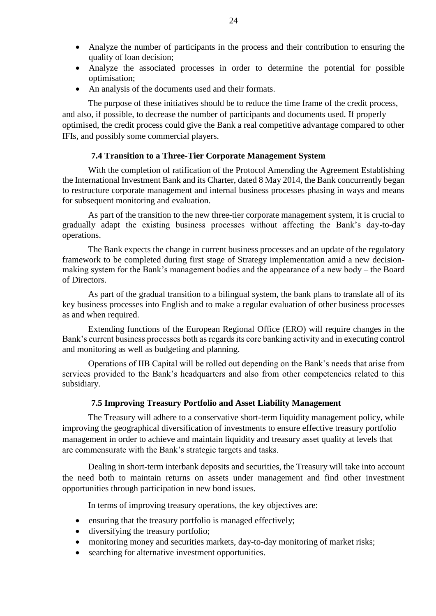- Analyze the number of participants in the process and their contribution to ensuring the quality of loan decision;
- Analyze the associated processes in order to determine the potential for possible optimisation;
- An analysis of the documents used and their formats.

The purpose of these initiatives should be to reduce the time frame of the credit process, and also, if possible, to decrease the number of participants and documents used. If properly optimised, the credit process could give the Bank a real competitive advantage compared to other IFIs, and possibly some commercial players.

## **7.4 Transition to a Three-Tier Corporate Management System**

<span id="page-23-0"></span>With the completion of ratification of the Protocol Amending the Agreement Establishing the International Investment Bank and its Charter, dated 8 May 2014, the Bank concurrently began to restructure corporate management and internal business processes phasing in ways and means for subsequent monitoring and evaluation.

As part of the transition to the new three-tier corporate management system, it is crucial to gradually adapt the existing business processes without affecting the Bank's day-to-day operations.

The Bank expects the change in current business processes and an update of the regulatory framework to be completed during first stage of Strategy implementation amid a new decisionmaking system for the Bank's management bodies and the appearance of a new body – the Board of Directors.

As part of the gradual transition to a bilingual system, the bank plans to translate all of its key business processes into English and to make a regular evaluation of other business processes as and when required.

Extending functions of the European Regional Office (ERO) will require changes in the Bank's current business processes both as regards its core banking activity and in executing control and monitoring as well as budgeting and planning.

Operations of IIB Capital will be rolled out depending on the Bank's needs that arise from services provided to the Bank's headquarters and also from other competencies related to this subsidiary.

#### **7.5 Improving Treasury Portfolio and Asset Liability Management**

<span id="page-23-1"></span>The Treasury will adhere to a conservative short-term liquidity management policy, while improving the geographical diversification of investments to ensure effective treasury portfolio management in order to achieve and maintain liquidity and treasury asset quality at levels that are commensurate with the Bank's strategic targets and tasks.

Dealing in short-term interbank deposits and securities, the Treasury will take into account the need both to maintain returns on assets under management and find other investment opportunities through participation in new bond issues.

In terms of improving treasury operations, the key objectives are:

- ensuring that the treasury portfolio is managed effectively;
- diversifying the treasury portfolio;
- monitoring money and securities markets, day-to-day monitoring of market risks;
- searching for alternative investment opportunities.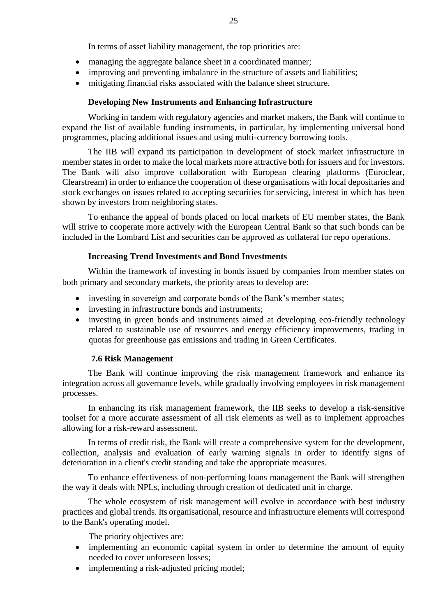In terms of asset liability management, the top priorities are:

- managing the aggregate balance sheet in a coordinated manner;
- improving and preventing imbalance in the structure of assets and liabilities;
- mitigating financial risks associated with the balance sheet structure.

# **Developing New Instruments and Enhancing Infrastructure**

Working in tandem with regulatory agencies and market makers, the Bank will continue to expand the list of available funding instruments, in particular, by implementing universal bond programmes, placing additional issues and using multi-currency borrowing tools.

The IIB will expand its participation in development of stock market infrastructure in member states in order to make the local markets more attractive both for issuers and for investors. The Bank will also improve collaboration with European clearing platforms (Euroclear, Clearstream) in order to enhance the cooperation of these organisations with local depositaries and stock exchanges on issues related to accepting securities for servicing, interest in which has been shown by investors from neighboring states.

To enhance the appeal of bonds placed on local markets of EU member states, the Bank will strive to cooperate more actively with the European Central Bank so that such bonds can be included in the Lombard List and securities can be approved as collateral for repo operations.

# **Increasing Trend Investments and Bond Investments**

Within the framework of investing in bonds issued by companies from member states on both primary and secondary markets, the priority areas to develop are:

- investing in sovereign and corporate bonds of the Bank's member states;
- investing in infrastructure bonds and instruments:
- investing in green bonds and instruments aimed at developing eco-friendly technology related to sustainable use of resources and energy efficiency improvements, trading in quotas for greenhouse gas emissions and trading in Green Certificates.

# **7.6 Risk Management**

<span id="page-24-0"></span>The Bank will continue improving the risk management framework and enhance its integration across all governance levels, while gradually involving employees in risk management processes.

In enhancing its risk management framework, the IIB seeks to develop a risk-sensitive toolset for a more accurate assessment of all risk elements as well as to implement approaches allowing for a risk-reward assessment.

In terms of credit risk, the Bank will create a comprehensive system for the development, collection, analysis and evaluation of early warning signals in order to identify signs of deterioration in a client's credit standing and take the appropriate measures.

To enhance effectiveness of non-performing loans management the Bank will strengthen the way it deals with NPLs, including through creation of dedicated unit in charge.

The whole ecosystem of risk management will evolve in accordance with best industry practices and global trends. Its organisational, resource and infrastructure elements will correspond to the Bank's operating model.

The priority objectives are:

- implementing an economic capital system in order to determine the amount of equity needed to cover unforeseen losses;
- implementing a risk-adjusted pricing model;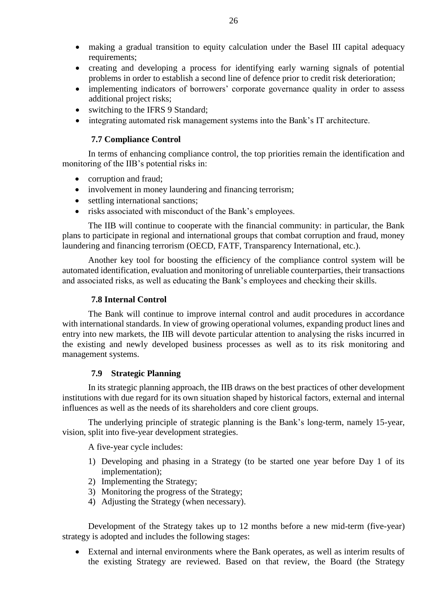- making a gradual transition to equity calculation under the Basel III capital adequacy requirements;
- creating and developing a process for identifying early warning signals of potential problems in order to establish a second line of defence prior to credit risk deterioration;
- implementing indicators of borrowers' corporate governance quality in order to assess additional project risks;
- switching to the IFRS 9 Standard;
- <span id="page-25-0"></span>integrating automated risk management systems into the Bank's IT architecture.

### **7.7 Compliance Control**

In terms of enhancing compliance control, the top priorities remain the identification and monitoring of the IIB's potential risks in:

- corruption and fraud;
- involvement in money laundering and financing terrorism;
- settling international sanctions;
- risks associated with misconduct of the Bank's employees.

The IIB will continue to cooperate with the financial community: in particular, the Bank plans to participate in regional and international groups that combat corruption and fraud, money laundering and financing terrorism (OECD, FATF, Transparency International, etc.).

Another key tool for boosting the efficiency of the compliance control system will be automated identification, evaluation and monitoring of unreliable counterparties, their transactions and associated risks, as well as educating the Bank's employees and checking their skills.

#### **7.8 Internal Control**

<span id="page-25-1"></span>The Bank will continue to improve internal control and audit procedures in accordance with international standards. In view of growing operational volumes, expanding product lines and entry into new markets, the IIB will devote particular attention to analysing the risks incurred in the existing and newly developed business processes as well as to its risk monitoring and management systems.

#### <span id="page-25-2"></span>**7.9 Strategic Planning**

In its strategic planning approach, the IIB draws on the best practices of other development institutions with due regard for its own situation shaped by historical factors, external and internal influences as well as the needs of its shareholders and core client groups.

The underlying principle of strategic planning is the Bank's long-term, namely 15-year, vision, split into five-year development strategies.

A five-year cycle includes:

- 1) Developing and phasing in a Strategy (to be started one year before Day 1 of its implementation);
- 2) Implementing the Strategy;
- 3) Monitoring the progress of the Strategy;
- 4) Adjusting the Strategy (when necessary).

Development of the Strategy takes up to 12 months before a new mid-term (five-year) strategy is adopted and includes the following stages:

 External and internal environments where the Bank operates, as well as interim results of the existing Strategy are reviewed. Based on that review, the Board (the Strategy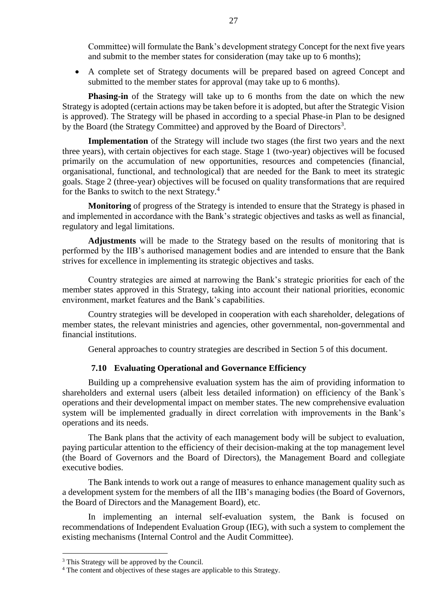Committee) will formulate the Bank's development strategy Concept for the next five years and submit to the member states for consideration (may take up to 6 months);

 A complete set of Strategy documents will be prepared based on agreed Concept and submitted to the member states for approval (may take up to 6 months).

**Phasing-in** of the Strategy will take up to 6 months from the date on which the new Strategy is adopted (certain actions may be taken before it is adopted, but after the Strategic Vision is approved). The Strategy will be phased in according to a special Phase-in Plan to be designed by the Board (the Strategy Committee) and approved by the Board of Directors<sup>3</sup>.

**Implementation** of the Strategy will include two stages (the first two years and the next three years), with certain objectives for each stage. Stage 1 (two-year) objectives will be focused primarily on the accumulation of new opportunities, resources and competencies (financial, organisational, functional, and technological) that are needed for the Bank to meet its strategic goals. Stage 2 (three-year) objectives will be focused on quality transformations that are required for the Banks to switch to the next Strategy.<sup>4</sup>

**Monitoring** of progress of the Strategy is intended to ensure that the Strategy is phased in and implemented in accordance with the Bank's strategic objectives and tasks as well as financial, regulatory and legal limitations.

**Adjustments** will be made to the Strategy based on the results of monitoring that is performed by the IIB's authorised management bodies and are intended to ensure that the Bank strives for excellence in implementing its strategic objectives and tasks.

Country strategies are aimed at narrowing the Bank's strategic priorities for each of the member states approved in this Strategy, taking into account their national priorities, economic environment, market features and the Bank's capabilities.

Country strategies will be developed in cooperation with each shareholder, delegations of member states, the relevant ministries and agencies, other governmental, non-governmental and financial institutions.

General approaches to country strategies are described in Section 5 of this document.

## **7.10 Evaluating Operational and Governance Efficiency**

<span id="page-26-0"></span>Building up a comprehensive evaluation system has the aim of providing information to shareholders and external users (albeit less detailed information) on efficiency of the Bank`s operations and their developmental impact on member states. The new comprehensive evaluation system will be implemented gradually in direct correlation with improvements in the Bank's operations and its needs.

The Bank plans that the activity of each management body will be subject to evaluation, paying particular attention to the efficiency of their decision-making at the top management level (the Board of Governors and the Board of Directors), the Management Board and collegiate executive bodies.

The Bank intends to work out a range of measures to enhance management quality such as a development system for the members of all the IIB's managing bodies (the Board of Governors, the Board of Directors and the Management Board), etc.

In implementing an internal self-evaluation system, the Bank is focused on recommendations of Independent Evaluation Group (IEG), with such a system to complement the existing mechanisms (Internal Control and the Audit Committee).

<u>.</u>

<sup>&</sup>lt;sup>3</sup> This Strategy will be approved by the Council.

<sup>4</sup> The content and objectives of these stages are applicable to this Strategy.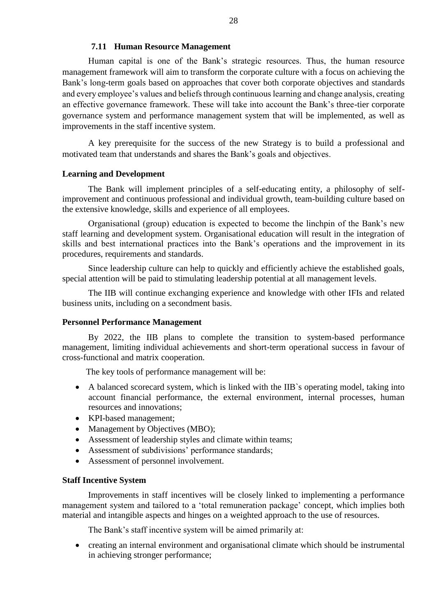### **7.11 Human Resource Management**

<span id="page-27-0"></span>Human capital is one of the Bank's strategic resources. Thus, the human resource management framework will aim to transform the corporate culture with a focus on achieving the Bank's long-term goals based on approaches that cover both corporate objectives and standards and every employee's values and beliefs through continuous learning and change analysis, creating an effective governance framework. These will take into account the Bank's three-tier corporate governance system and performance management system that will be implemented, as well as improvements in the staff incentive system.

A key prerequisite for the success of the new Strategy is to build a professional and motivated team that understands and shares the Bank's goals and objectives.

### **Learning and Development**

The Bank will implement principles of a self-educating entity, a philosophy of selfimprovement and continuous professional and individual growth, team-building culture based on the extensive knowledge, skills and experience of all employees.

Organisational (group) education is expected to become the linchpin of the Bank's new staff learning and development system. Organisational education will result in the integration of skills and best international practices into the Bank's operations and the improvement in its procedures, requirements and standards.

Since leadership culture can help to quickly and efficiently achieve the established goals, special attention will be paid to stimulating leadership potential at all management levels.

The IIB will continue exchanging experience and knowledge with other IFIs and related business units, including on a secondment basis.

## **Personnel Performance Management**

By 2022, the IIB plans to complete the transition to system-based performance management, limiting individual achievements and short-term operational success in favour of cross-functional and matrix cooperation.

The key tools of performance management will be:

- A balanced scorecard system, which is linked with the IIB`s operating model, taking into account financial performance, the external environment, internal processes, human resources and innovations;
- KPI-based management:
- Management by Objectives (MBO);
- Assessment of leadership styles and climate within teams;
- Assessment of subdivisions' performance standards;
- Assessment of personnel involvement.

#### **Staff Incentive System**

Improvements in staff incentives will be closely linked to implementing a performance management system and tailored to a 'total remuneration package' concept, which implies both material and intangible aspects and hinges on a weighted approach to the use of resources.

The Bank's staff incentive system will be aimed primarily at:

 creating an internal environment and organisational climate which should be instrumental in achieving stronger performance;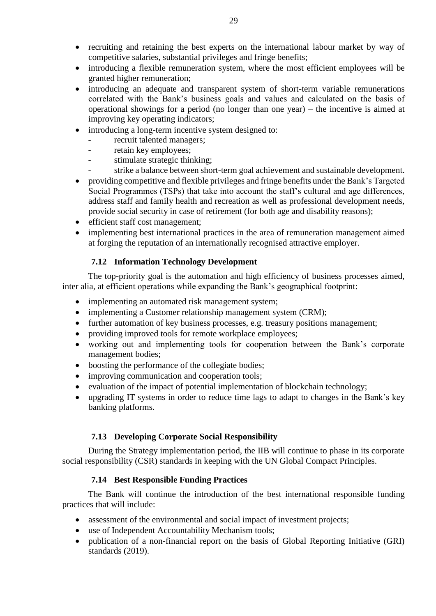- recruiting and retaining the best experts on the international labour market by way of competitive salaries, substantial privileges and fringe benefits;
- introducing a flexible remuneration system, where the most efficient employees will be granted higher remuneration;
- introducing an adequate and transparent system of short-term variable remunerations correlated with the Bank's business goals and values and calculated on the basis of operational showings for a period (no longer than one year) – the incentive is aimed at improving key operating indicators;
- introducing a long-term incentive system designed to:
	- recruit talented managers;
	- retain key employees;
	- stimulate strategic thinking;
	- strike a balance between short-term goal achievement and sustainable development.
- providing competitive and flexible privileges and fringe benefits under the Bank's Targeted Social Programmes (TSPs) that take into account the staff's cultural and age differences, address staff and family health and recreation as well as professional development needs, provide social security in case of retirement (for both age and disability reasons);
- efficient staff cost management;
- implementing best international practices in the area of remuneration management aimed at forging the reputation of an internationally recognised attractive employer.

## **7.12 Information Technology Development**

<span id="page-28-0"></span>The top-priority goal is the automation and high efficiency of business processes aimed, inter alia, at efficient operations while expanding the Bank's geographical footprint:

- implementing an automated risk management system;
- implementing a Customer relationship management system (CRM);
- further automation of key business processes, e.g. treasury positions management;
- providing improved tools for remote workplace employees:
- working out and implementing tools for cooperation between the Bank's corporate management bodies;
- boosting the performance of the collegiate bodies;
- improving communication and cooperation tools;
- evaluation of the impact of potential implementation of blockchain technology;
- upgrading IT systems in order to reduce time lags to adapt to changes in the Bank's key banking platforms.

# **7.13 Developing Corporate Social Responsibility**

<span id="page-28-1"></span>During the Strategy implementation period, the IIB will continue to phase in its corporate social responsibility (CSR) standards in keeping with the UN Global Compact Principles.

# **7.14 Best Responsible Funding Practices**

<span id="page-28-2"></span>The Bank will continue the introduction of the best international responsible funding practices that will include:

- assessment of the environmental and social impact of investment projects;
- use of Independent Accountability Mechanism tools;
- publication of a non-financial report on the basis of Global Reporting Initiative (GRI) standards (2019).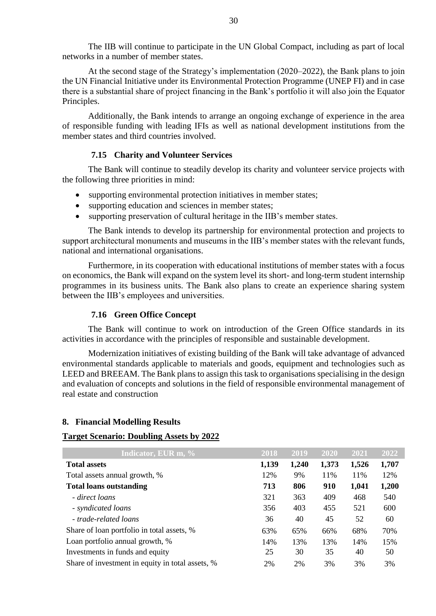The IIB will continue to participate in the UN Global Compact, including as part of local networks in a number of member states.

At the second stage of the Strategy's implementation (2020–2022), the Bank plans to join the UN Financial Initiative under its Environmental Protection Programme (UNEP FI) and in case there is a substantial share of project financing in the Bank's portfolio it will also join the Equator Principles.

Additionally, the Bank intends to arrange an ongoing exchange of experience in the area of responsible funding with leading IFIs as well as national development institutions from the member states and third countries involved.

#### **7.15 Charity and Volunteer Services**

<span id="page-29-0"></span>The Bank will continue to steadily develop its charity and volunteer service projects with the following three priorities in mind:

- supporting environmental protection initiatives in member states;
- supporting education and sciences in member states;
- supporting preservation of cultural heritage in the IIB's member states.

The Bank intends to develop its partnership for environmental protection and projects to support architectural monuments and museums in the IIB's member states with the relevant funds, national and international organisations.

Furthermore, in its cooperation with educational institutions of member states with a focus on economics, the Bank will expand on the system level its short- and long-term student internship programmes in its business units. The Bank also plans to create an experience sharing system between the IIB's employees and universities.

#### **7.16 Green Office Concept**

<span id="page-29-1"></span>The Bank will continue to work on introduction of the Green Office standards in its activities in accordance with the principles of responsible and sustainable development.

Modernization initiatives of existing building of the Bank will take advantage of advanced environmental standards applicable to materials and goods, equipment and technologies such as LEED and BREEAM. The Bank plans to assign this task to organisations specialising in the design and evaluation of concepts and solutions in the field of responsible environmental management of real estate and construction

#### <span id="page-29-2"></span>**8. Financial Modelling Results**

## **Target Scenario: Doubling Assets by 2022**

| Indicator, EUR m, %                              | 2018 | 2019  | 2020  | 2021  | 2022  |
|--------------------------------------------------|------|-------|-------|-------|-------|
| <b>Total assets</b>                              |      | 1,240 | 1,373 | 1,526 | 1,707 |
| Total assets annual growth, %                    |      | 9%    | 11%   | 11%   | 12%   |
| <b>Total loans outstanding</b>                   | 713  | 806   | 910   | 1,041 | 1,200 |
| - direct loans                                   | 321  | 363   | 409   | 468   | 540   |
| - syndicated loans                               | 356  | 403   | 455   | 521   | 600   |
| - trade-related loans                            | 36   | 40    | 45    | 52    | 60    |
| Share of loan portfolio in total assets, %       | 63%  | 65%   | 66%   | 68%   | 70%   |
| Loan portfolio annual growth, %                  | 14%  | 13%   | 13%   | 14%   | 15%   |
| Investments in funds and equity                  | 25   | 30    | 35    | 40    | 50    |
| Share of investment in equity in total assets, % | 2%   | 2%    | 3%    | 3%    | 3%    |